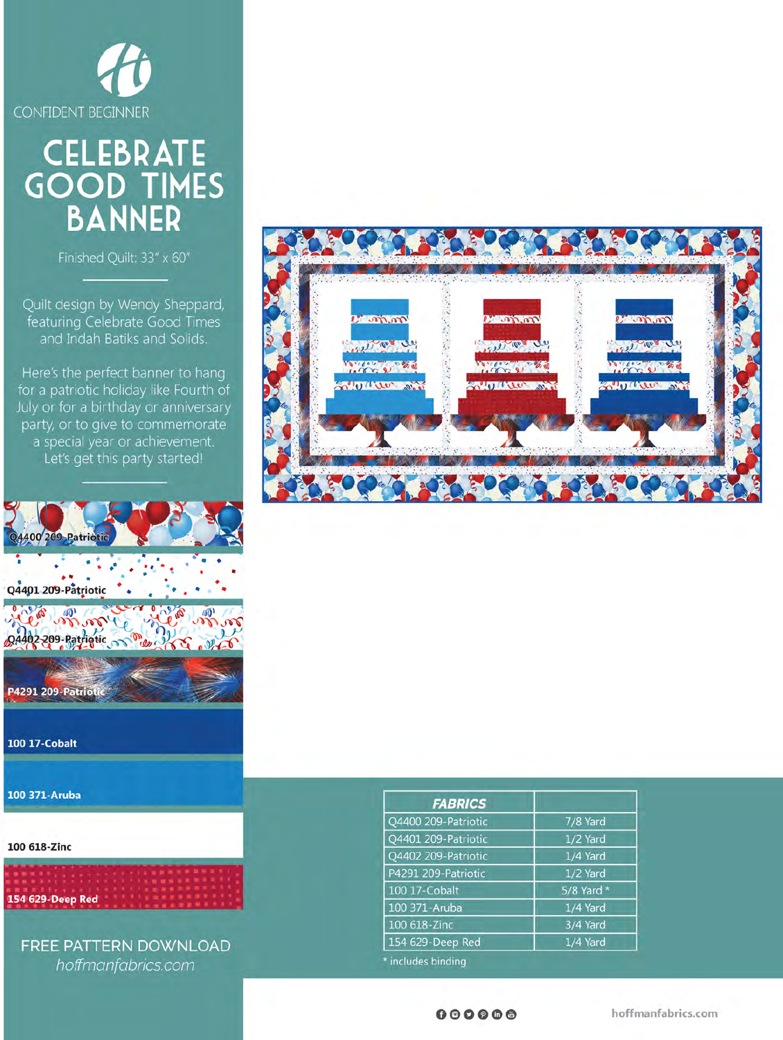

# CELEBRATE<br>GOOD TIMES<br>BANNER

Finished Quilt: 33" x 60"

Quilt design by Wendy Sheppard, featuring Celebrate Good Times and Indah Batiks and Solids.

Here's the perfect banner to hang for a patriotic holiday like Fourth of July or for a birthday or anniversary party, or to give to commemorate a special year or achievement. Let's get this party started!



100 371-Aruba

100 618-Zinc



FREE PATTERN DOWNLOAD hoffmanfabrics.com



| 7/8 Yard<br>1/2 Yard<br>1/4 Yard |
|----------------------------------|
|                                  |
|                                  |
|                                  |
|                                  |
| 1/2 Yard                         |
| 5/8 Yard *                       |
| 1/4 Yard                         |
| 3/4 Yard                         |
| 1/4 Yard                         |
|                                  |

 $000000$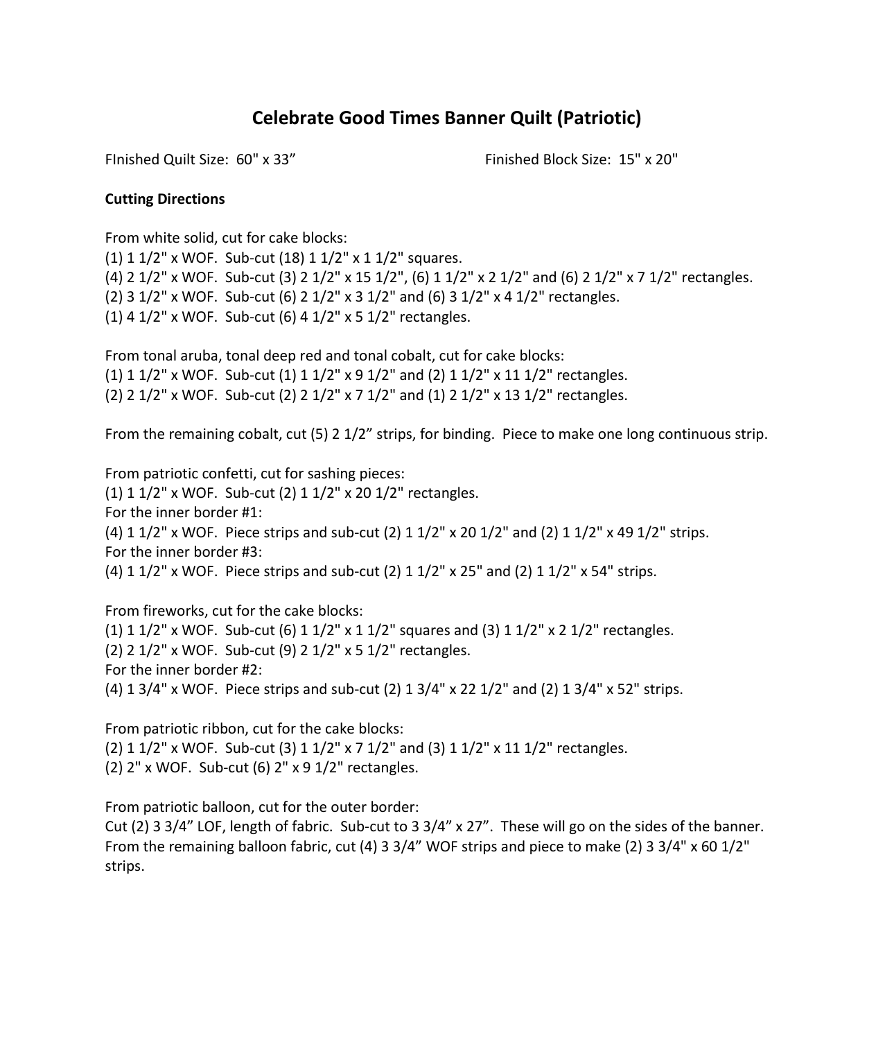# **Celebrate Good Times Banner Quilt (Patriotic)**

FInished Quilt Size: 60" x 33" Finished Block Size: 15" x 20"

### **Cutting Directions**

From white solid, cut for cake blocks:

(1) 1 1/2" x WOF. Sub-cut (18) 1 1/2" x 1 1/2" squares. (4) 2 1/2" x WOF. Sub-cut (3) 2 1/2" x 15 1/2", (6) 1 1/2" x 2 1/2" and (6) 2 1/2" x 7 1/2" rectangles. (2) 3 1/2" x WOF. Sub-cut (6) 2 1/2" x 3 1/2" and (6) 3 1/2" x 4 1/2" rectangles. (1) 4 1/2" x WOF. Sub-cut (6) 4 1/2" x 5 1/2" rectangles.

From tonal aruba, tonal deep red and tonal cobalt, cut for cake blocks: (1)  $1\frac{1}{2}$ " x WOF. Sub-cut (1)  $1\frac{1}{2}$ " x  $9\frac{1}{2}$ " and (2)  $1\frac{1}{2}$ " x  $11\frac{1}{2}$ " rectangles. (2) 2 1/2" x WOF. Sub-cut (2) 2 1/2" x 7 1/2" and (1) 2 1/2" x 13 1/2" rectangles.

From the remaining cobalt, cut (5) 2 1/2" strips, for binding. Piece to make one long continuous strip.

From patriotic confetti, cut for sashing pieces: (1) 1 1/2" x WOF. Sub-cut (2) 1 1/2" x 20 1/2" rectangles. For the inner border #1: (4)  $1 \frac{1}{2}$ " x WOF. Piece strips and sub-cut (2)  $1 \frac{1}{2}$ " x 20  $\frac{1}{2}$ " and (2)  $1 \frac{1}{2}$ " x 49  $\frac{1}{2}$ " strips. For the inner border #3: (4)  $1 \frac{1}{2}$  x WOF. Piece strips and sub-cut (2)  $1 \frac{1}{2}$  x 25" and (2)  $1 \frac{1}{2}$ " x 54" strips.

From fireworks, cut for the cake blocks: (1)  $1 \frac{1}{2}$ " x WOF. Sub-cut (6)  $1 \frac{1}{2}$ " x  $1 \frac{1}{2}$ " squares and (3)  $1 \frac{1}{2}$ " x  $2 \frac{1}{2}$ " rectangles. (2) 2 1/2" x WOF. Sub-cut (9) 2 1/2" x 5 1/2" rectangles. For the inner border #2: (4) 1 3/4" x WOF. Piece strips and sub-cut (2) 1 3/4" x 22 1/2" and (2) 1 3/4" x 52" strips.

From patriotic ribbon, cut for the cake blocks: (2)  $1\frac{1}{2}$ " x WOF. Sub-cut (3)  $1\frac{1}{2}$ " x  $7\frac{1}{2}$ " and (3)  $1\frac{1}{2}$ " x  $11\frac{1}{2}$ " rectangles. (2) 2" x WOF. Sub-cut (6) 2" x 9 1/2" rectangles.

From patriotic balloon, cut for the outer border:

Cut (2) 3 3/4" LOF, length of fabric. Sub-cut to 3 3/4" x 27". These will go on the sides of the banner. From the remaining balloon fabric, cut (4) 3 3/4" WOF strips and piece to make (2) 3 3/4" x 60 1/2" strips.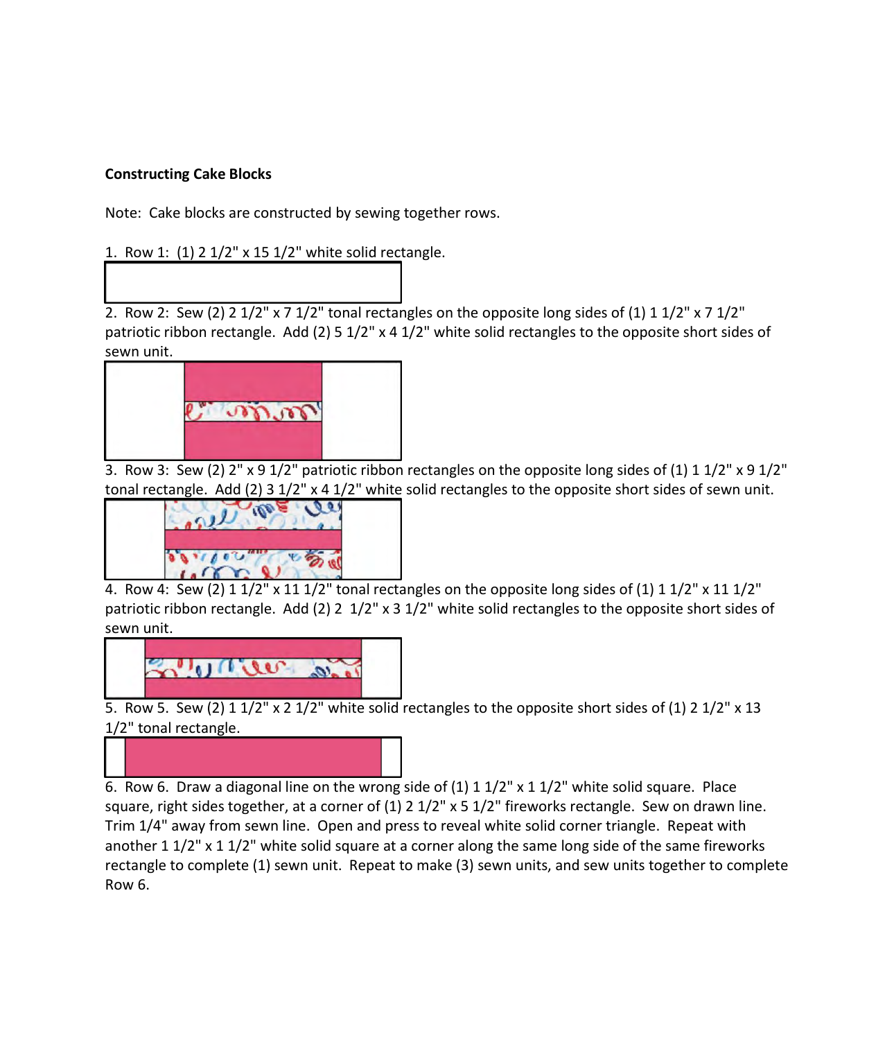## **Constructing Cake Blocks**

Note: Cake blocks are constructed by sewing together rows.

1. Row 1: (1) 2 1/2" x 15 1/2" white solid rectangle.

2. Row 2: Sew (2) 2  $1/2$ " x 7  $1/2$ " tonal rectangles on the opposite long sides of (1) 1  $1/2$ " x 7  $1/2$ " patriotic ribbon rectangle. Add (2) 5 1/2" x 4 1/2" white solid rectangles to the opposite short sides of sewn unit.



3. Row 3: Sew (2) 2" x 9 1/2" patriotic ribbon rectangles on the opposite long sides of (1) 1 1/2" x 9 1/2" tonal rectangle. Add (2) 3 1/2" x 4 1/2" white solid rectangles to the opposite short sides of sewn unit.



4. Row 4: Sew (2)  $1 \frac{1}{2}$ " x 11  $\frac{1}{2}$ " tonal rectangles on the opposite long sides of (1)  $1 \frac{1}{2}$ " x 11  $\frac{1}{2}$ " patriotic ribbon rectangle. Add (2) 2 1/2" x 3 1/2" white solid rectangles to the opposite short sides of sewn unit.



5. Row 5. Sew (2) 1 1/2" x 2 1/2" white solid rectangles to the opposite short sides of (1) 2 1/2" x 13 1/2" tonal rectangle.



6. Row 6. Draw a diagonal line on the wrong side of  $(1)$  1  $1/2$ " x 1  $1/2$ " white solid square. Place square, right sides together, at a corner of  $(1)$  2  $1/2$ " x 5  $1/2$ " fireworks rectangle. Sew on drawn line. Trim 1/4" away from sewn line. Open and press to reveal white solid corner triangle. Repeat with another 1 1/2" x 1 1/2" white solid square at a corner along the same long side of the same fireworks rectangle to complete (1) sewn unit. Repeat to make (3) sewn units, and sew units together to complete Row 6.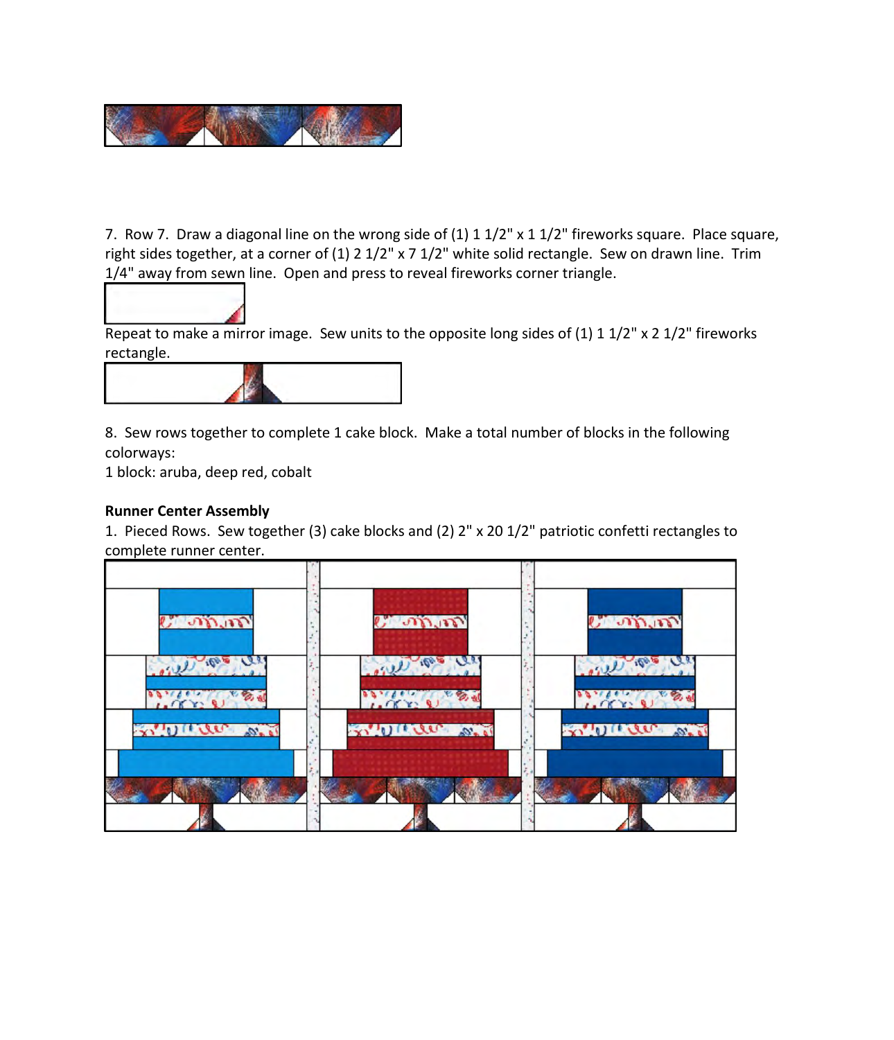

7. Row 7. Draw a diagonal line on the wrong side of  $(1)$  1  $1/2$ " x 1  $1/2$ " fireworks square. Place square, right sides together, at a corner of (1) 2 1/2" x 7 1/2" white solid rectangle. Sew on drawn line. Trim 1/4" away from sewn line. Open and press to reveal fireworks corner triangle.



Repeat to make a mirror image. Sew units to the opposite long sides of  $(1)$  1 1/2" x 2 1/2" fireworks rectangle.



8. Sew rows together to complete 1 cake block. Make a total number of blocks in the following colorways:

1 block: aruba, deep red, cobalt

## **Runner Center Assembly**

1. Pieced Rows. Sew together (3) cake blocks and (2) 2" x 20 1/2" patriotic confetti rectangles to complete runner center.